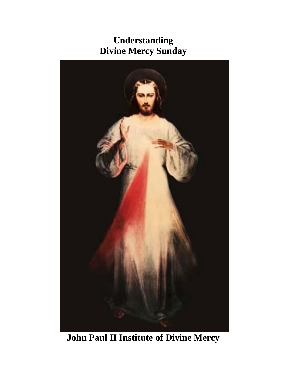# **Understanding Divine Mercy Sunday**



**John Paul II Institute of Divine Mercy**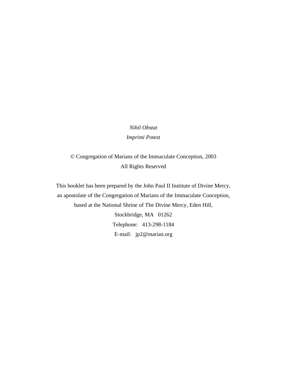*Nihil Obstat Imprimi Potest*

© Congregation of Marians of the Immaculate Conception, 2003 All Rights Reserved

This booklet has been prepared by the John Paul II Institute of Divine Mercy, an apostolate of the Congregation of Marians of the Immaculate Conception, based at the National Shrine of The Divine Mercy, Eden Hill, Stockbridge, MA 01262 Telephone: 413-298-1184 E-mail: jp2@marian.org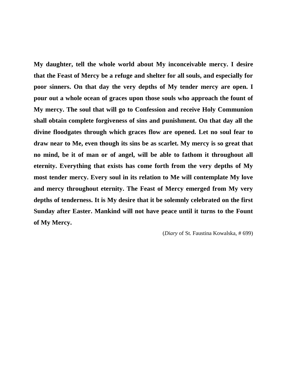**My daughter, tell the whole world about My inconceivable mercy. I desire that the Feast of Mercy be a refuge and shelter for all souls, and especially for poor sinners. On that day the very depths of My tender mercy are open. I pour out a whole ocean of graces upon those souls who approach the fount of My mercy. The soul that will go to Confession and receive Holy Communion shall obtain complete forgiveness of sins and punishment. On that day all the divine floodgates through which graces flow are opened. Let no soul fear to draw near to Me, even though its sins be as scarlet. My mercy is so great that no mind, be it of man or of angel, will be able to fathom it throughout all eternity. Everything that exists has come forth from the very depths of My most tender mercy. Every soul in its relation to Me will contemplate My love and mercy throughout eternity. The Feast of Mercy emerged from My very depths of tenderness. It is My desire that it be solemnly celebrated on the first Sunday after Easter. Mankind will not have peace until it turns to the Fount of My Mercy.** 

(*Diary* of St. Faustina Kowalska, # 699)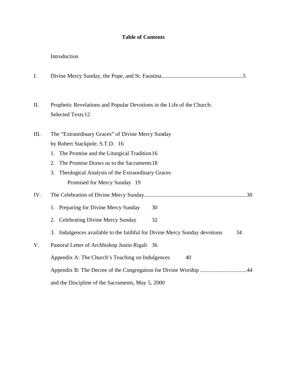### **Table of Contents**

### Introduction

I. Divine Mercy Sunday, the Pope, and St. Faustina..........................................................5

II. Prophetic Revelations and Popular Devotions in the Life of the Church: Selected Texts 12

| III. | The "Extraordinary Graces" of Divine Mercy Sunday                                |
|------|----------------------------------------------------------------------------------|
|      | by Robert Stackpole, S.T.D. 16                                                   |
|      | The Promise and the Liturgical Tradition 16<br>1.                                |
|      | The Promise Draws us to the Sacraments 18<br>2.                                  |
|      | 3. Theological Analysis of the Extraordinary Graces                              |
|      | Promised for Mercy Sunday 19                                                     |
| IV.  |                                                                                  |
|      | 1. Preparing for Divine Mercy Sunday<br>30                                       |
|      | 2. Celebrating Divine Mercy Sunday<br>32                                         |
|      | 3. Indulgences available to the faithful for Divine Mercy Sunday devotions<br>34 |
| V.   | Pastoral Letter of Archbishop Justin Rigali 36                                   |
|      | Appendix A: The Church's Teaching on Indulgences<br>40                           |
|      | Appendix B: The Decree of the Congregation for Divine Worship 44                 |
|      | and the Discipline of the Sacraments, May 5, 2000                                |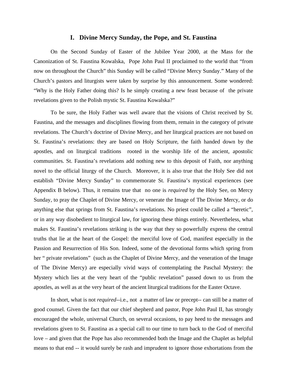#### **I. Divine Mercy Sunday, the Pope, and St. Faustina**

On the Second Sunday of Easter of the Jubilee Year 2000, at the Mass for the Canonization of St. Faustina Kowalska, Pope John Paul II proclaimed to the world that "from now on throughout the Church" this Sunday will be called "Divine Mercy Sunday." Many of the Church's pastors and liturgists were taken by surprise by this announcement. Some wondered: "Why is the Holy Father doing this? Is he simply creating a new feast because of the private revelations given to the Polish mystic St. Faustina Kowalska?"

To be sure, the Holy Father was well aware that the visions of Christ received by St. Faustina, and the messages and disciplines flowing from them, remain in the category of private revelations. The Church's doctrine of Divine Mercy, and her liturgical practices are not based on St. Faustina's revelations: they are based on Holy Scripture, the faith handed down by the apostles, and on liturgical traditions rooted in the worship life of the ancient, apostolic communities. St. Faustina's revelations add nothing new to this deposit of Faith, nor anything novel to the official liturgy of the Church. Moreover, it is also true that the Holy See did not establish "Divine Mercy Sunday" to commemorate St. Faustina's mystical experiences (see Appendix B below). Thus, it remains true that no one is *required* by the Holy See, on Mercy Sunday, to pray the Chaplet of Divine Mercy, or venerate the Image of The Divine Mercy, or do anything else that springs from St. Faustina's revelations. No priest could be called a "heretic", or in any way disobedient to liturgical law, for ignoring these things entirely. Nevertheless, what makes St. Faustina's revelations striking is the way that they so powerfully express the central truths that lie at the heart of the Gospel: the merciful love of God, manifest especially in the Passion and Resurrection of His Son. Indeed, some of the devotional forms which spring from her " private revelations" (such as the Chaplet of Divine Mercy, and the veneration of the Image of The Divine Mercy) are especially vivid ways of contemplating the Paschal Mystery: the Mystery which lies at the very heart of the "public revelation" passed down to us from the apostles, as well as at the very heart of the ancient liturgical traditions for the Easter Octave.

In short, what is not *required*--i.e., not a matter of law or precept-- can still be a matter of good counsel. Given the fact that our chief shepherd and pastor, Pope John Paul II, has strongly encouraged the whole, universal Church, on several occasions, to pay heed to the messages and revelations given to St. Faustina as a special call to our time to turn back to the God of merciful love – and given that the Pope has also recommended both the Image and the Chaplet as helpful means to that end -- it would surely be rash and imprudent to ignore those exhortations from the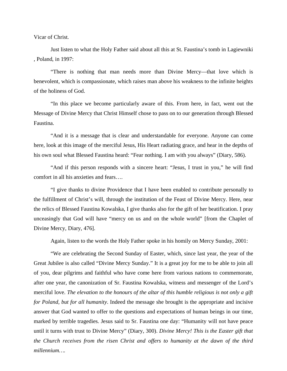Vicar of Christ.

Just listen to what the Holy Father said about all this at St. Faustina's tomb in Lagiewniki , Poland, in 1997:

"There is nothing that man needs more than Divine Mercy—that love which is benevolent, which is compassionate, which raises man above his weakness to the infinite heights of the holiness of God.

"In this place we become particularly aware of this. From here, in fact, went out the Message of Divine Mercy that Christ Himself chose to pass on to our generation through Blessed Faustina.

"And it is a message that is clear and understandable for everyone. Anyone can come here, look at this image of the merciful Jesus, His Heart radiating grace, and hear in the depths of his own soul what Blessed Faustina heard: "Fear nothing. I am with you always" (Diary, 586).

"And if this person responds with a sincere heart: "Jesus, I trust in you," he will find comfort in all his anxieties and fears….

"I give thanks to divine Providence that I have been enabled to contribute personally to the fulfillment of Christ's will, through the institution of the Feast of Divine Mercy. Here, near the relics of Blessed Faustina Kowalska, I give thanks also for the gift of her beatification. I pray unceasingly that God will have "mercy on us and on the whole world" [from the Chaplet of Divine Mercy, Diary, 476].

Again, listen to the words the Holy Father spoke in his homily on Mercy Sunday, 2001:

"We are celebrating the Second Sunday of Easter, which, since last year, the year of the Great Jubilee is also called "Divine Mercy Sunday." It is a great joy for me to be able to join all of you, dear pilgrims and faithful who have come here from various nations to commemorate, after one year, the canonization of Sr. Faustina Kowalska, witness and messenger of the Lord's merciful love. *The elevation to the honours of the altar of this humble religious is not only a gift for Poland, but for all humanity*. Indeed the message she brought is the appropriate and incisive answer that God wanted to offer to the questions and expectations of human beings in our time, marked by terrible tragedies. Jesus said to Sr. Faustina one day: "Humanity will not have peace until it turns with trust to Divine Mercy" (Diary, 300). *Divine Mercy! This is the Easter gift that the Church receives from the risen Christ and offers to humanity at the dawn of the third millennium….*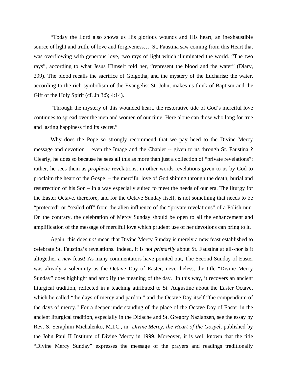"Today the Lord also shows us His glorious wounds and His heart, an inexhaustible source of light and truth, of love and forgiveness…. St. Faustina saw coming from this Heart that was overflowing with generous love, two rays of light which illuminated the world. "The two rays", according to what Jesus Himself told her, "represent the blood and the water" (Diary, 299). The blood recalls the sacrifice of Golgotha, and the mystery of the Eucharist; the water, according to the rich symbolism of the Evangelist St. John, makes us think of Baptism and the Gift of the Holy Spirit (cf. Jn 3:5; 4:14).

"Through the mystery of this wounded heart, the restorative tide of God's merciful love continues to spread over the men and women of our time. Here alone can those who long for true and lasting happiness find its secret."

Why does the Pope so strongly recommend that we pay heed to the Divine Mercy message and devotion – even the Image and the Chaplet -- given to us through St. Faustina ? Clearly, he does so because he sees all this as more than just a collection of "private revelations"; rather, he sees them as *prophetic* revelations, in other words revelations given to us by God to proclaim the heart of the Gospel – the merciful love of God shining through the death, burial and resurrection of his Son – in a way especially suited to meet the needs of our era. The liturgy for the Easter Octave, therefore, and for the Octave Sunday itself, is not something that needs to be "protected" or "sealed off" from the alien influence of the "private revelations" of a Polish nun. On the contrary, the celebration of Mercy Sunday should be open to all the enhancement and amplification of the message of merciful love which prudent use of her devotions can bring to it.

Again, this does *not* mean that Divine Mercy Sunday is merely a new feast established to celebrate St. Faustina's revelations. Indeed, it is not *primarily* about St. Faustina at all--nor is it altogether a *new* feast! As many commentators have pointed out, The Second Sunday of Easter was already a solemnity as the Octave Day of Easter; nevertheless, the title "Divine Mercy Sunday" does highlight and amplify the meaning of the day. In this way, it recovers an ancient liturgical tradition, reflected in a teaching attributed to St. Augustine about the Easter Octave, which he called "the days of mercy and pardon," and the Octave Day itself "the compendium of the days of mercy." For a deeper understanding of the place of the Octave Day of Easter in the ancient liturgical tradition, especially in the Didache and St. Gregory Nazianzen, see the essay by Rev. S. Seraphim Michalenko, M.I.C., in *Divine Mercy, the Heart of the Gospel,* published by the John Paul II Institute of Divine Mercy in 1999. Moreover, it is well known that the title "Divine Mercy Sunday" expresses the message of the prayers and readings traditionally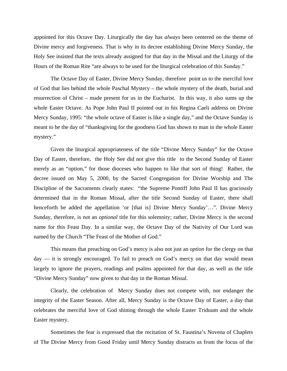appointed for this Octave Day. Liturgically the day has *always* been centered on the theme of Divine mercy and forgiveness. That is why in its decree establishing Divine Mercy Sunday, the Holy See insisted that the texts already assigned for that day in the Missal and the Liturgy of the Hours of the Roman Rite "are always to be used for the liturgical celebration of this Sunday."

The Octave Day of Easter, Divine Mercy Sunday, therefore point us to the merciful love of God that lies behind the whole Paschal Mystery – the whole mystery of the death, burial and resurrection of Christ – made present for us in the Eucharist. In this way, it also sums up the whole Easter Octave. As Pope John Paul II pointed out in his Regina Caeli address on Divine Mercy Sunday, 1995: "the whole octave of Easter is like a single day," and the Octave Sunday is meant to be the day of "thanksgiving for the goodness God has shown to man in the whole Easter mystery."

Given the liturgical appropriateness of the title "Divine Mercy Sunday" for the Octave Day of Easter, therefore, the Holy See did not give this title to the Second Sunday of Easter merely as an "option," for those dioceses who happen to like that sort of thing! Rather, the decree issued on May 5, 2000, by the Sacred Congregation for Divine Worship and The Discipline of the Sacraments clearly states: "the Supreme Pontiff John Paul II has graciously determined that in the Roman Missal, after the title Second Sunday of Easter, there shall henceforth be added the appellation 'or [that is] Divine Mercy Sunday'...". Divine Mercy Sunday, therefore, is not an *optional* title for this solemnity; rather, Divine Mercy is the second name for this Feast Day. In a similar way, the Octave Day of the Nativity of Our Lord was named by the Church "The Feast of the Mother of God."

This means that preaching on God's mercy is also not just an *option* for the clergy on that day — it is strongly encouraged. To fail to preach on God's mercy on that day would mean largely to ignore the prayers, readings and psalms appointed for that day, as well as the title "Divine Mercy Sunday" now given to that day in the Roman Missal.

Clearly, the celebration of Mercy Sunday does not compete with, nor endanger the integrity of the Easter Season. After all, Mercy Sunday is the Octave Day of Easter, a day that celebrates the merciful love of God shining through the whole Easter Triduum and the whole Easter mystery.

Sometimes the fear is expressed that the recitation of St. Faustina's Novena of Chaplets of The Divine Mercy from Good Friday until Mercy Sunday distracts us from the focus of the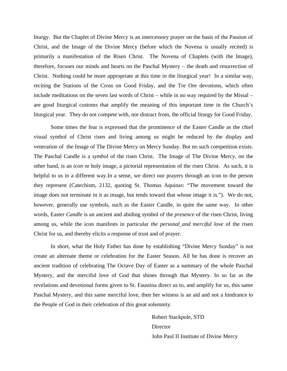liturgy. But the Chaplet of Divine Mercy is an intercessory prayer on the basis of the Passion of Christ, and the Image of the Divine Mercy (before which the Novena is usually recited) is primarily a manifestation of the Risen Christ. The Novena of Chaplets (with the Image), therefore, focuses our minds and hearts on the Paschal Mystery – the death and resurrection of Christ. Nothing could be more appropriate at this time in the liturgical year! In a similar way, reciting the Stations of the Cross on Good Friday, and the Tre Ore devotions, which often include meditations on the seven last words of Christ – while in no way required by the Missal – are good liturgical customs that amplify the meaning of this important time in the Church's liturgical year. They do not compete with, nor distract from, the official liturgy for Good Friday.

Some times the fear is expressed that the prominence of the Easter Candle as the chief visual symbol of Christ risen and living among us might be reduced by the display and veneration of the Image of The Divine Mercy on Mercy Sunday. But no such competition exists. The Paschal Candle is a *symbol* of the risen Christ. The Image of The Divine Mercy, on the other hand, is an *icon* or holy image, a pictorial representation of the risen Christ. As such, it is helpful to us in a different way.In a sense, we direct our prayers through an icon to the person they represent (Catechism, 2132, quoting St. Thomas Aquinas: "The movement toward the image does not terminate in it as image, but tends toward that whose image it is."). We do not, however, generally use symbols, such as the Easter Candle, in quite the same way. In other words, Easter *Candle* is an ancient and abiding symbol of the *presence* of the risen Christ, living among us, while the icon manifests in particular *the personal and merciful love* of the risen Christ for us, and thereby elicits a response of trust and of prayer.

In short, what the Holy Father has done by establishing "Divine Mercy Sunday" is not create an alternate theme or celebration for the Easter Season. All he has done is recover an ancient tradition of celebrating The Octave Day of Easter as a summary of the whole Paschal Mystery, and the merciful love of God that shines through that Mystery. In so far as the revelations and devotional forms given to St. Faustina direct us to, and amplify for us, this same Paschal Mystery, and this same merciful love, then her witness is an aid and not a hindrance to the People of God in their celebration of this great solemnity.

> Robert Stackpole, STD **Director** John Paul II Institute of Divine Mercy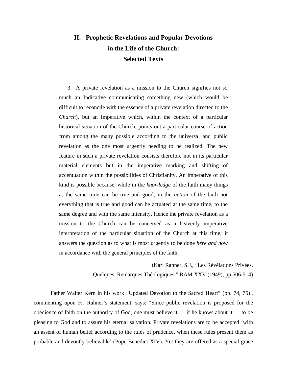# **II. Prophetic Revelations and Popular Devotions in the Life of the Church: Selected Texts**

3. A private revelation as a mission to the Church signifies not so much an Indicative communicating something new (which would be difficult to reconcile with the essence of a private revelation directed to the *Church*), but an Imperative which, within the context of a particular historical situation of the Church, points out a particular course of action from among the many possible according to the universal and public revelation as the one most urgently needing to be realized. The new feature in such a private revelation consists therefore not in its particular material elements but in the imperative marking and shifting of accentuation within the possibilities of Christianity. An imperative of this kind is possible because, while in the *knowledge* of the faith many things at the same time can be true and good, in the *action* of the faith not everything that is true and good can be actuated at the same time, to the same degree and with the same intensity. Hence the private revelation as a mission to the Church can be conceived as a heavenly imperative interpretation of the particular situation of the Church at this time; it answers the question as to what is most urgently to be done *here and now* in accordance with the general principles of the faith.

> (Karl Rahner, S.J., "Les Révélations Privées. Quelques Remarques Théologiques," RAM XXV (1949), pp.506-514)

Father Walter Kern in his work "Updated Devotion to the Sacred Heart" (pp. 74, 75)., commenting upon Fr. Rahner's statement, says: "Since public revelation is proposed for the obedience of faith on the authority of God, one must believe it — if he knows about it — to be pleasing to God and to assure his eternal salvation. Private revelations are to be accepted 'with an assent of human belief according to the rules of prudence, when these rules present them as probable and devoutly believable' (Pope Benedict XIV). Yet they are offered as a special grace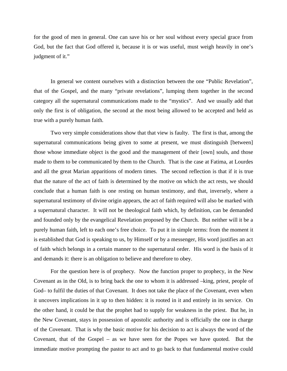for the good of men in general. One can save his or her soul without every special grace from God, but the fact that God offered it, because it is or was useful, must weigh heavily in one's judgment of it."

In general we content ourselves with a distinction between the one "Public Revelation", that of the Gospel, and the many "private revelations", lumping them together in the second category all the supernatural communications made to the "mystics". And we usually add that only the first is of obligation, the second at the most being allowed to be accepted and held as true with a purely human faith.

Two very simple considerations show that that view is faulty. The first is that, among the supernatural communications being given to some at present, we must distinguish [between] those whose immediate object is the good and the management of their [own] souls, and those made to them to be communicated by them to the Church. That is the case at Fatima, at Lourdes and all the great Marian apparitions of modern times. The second reflection is that if it is true that the nature of the act of faith is determined by the motive on which the act rests, we should conclude that a human faith is one resting on human testimony, and that, inversely, where a supernatural testimony of divine origin appears, the act of faith required will also be marked with a supernatural character. It will not be theological faith which, by definition, can be demanded and founded only by the evangelical Revelation proposed by the Church. But neither will it be a purely human faith, left to each one's free choice. To put it in simple terms: from the moment it is established that God is speaking to us, by Himself or by a messenger, His word justifies an act of faith which belongs in a certain manner to the supernatural order. His word is the basis of it and demands it: there is an obligation to believe and therefore to obey.

For the question here is of prophecy. Now the function proper to prophecy, in the New Covenant as in the Old, is to bring back the one to whom it is addressed –king, priest, people of God– to fulfil the duties of that Covenant. It does not take the place of the Covenant, even when it uncovers implications in it up to then hidden: it is rooted in it and entirely in its service. On the other hand, it could be that the prophet had to supply for weakness in the priest. But he, in the New Covenant, stays in possession of apostolic authority and is officially the one in charge of the Covenant. That is why the basic motive for his decision to act is always the word of the Covenant, that of the Gospel – as we have seen for the Popes we have quoted. But the immediate motive prompting the pastor to act and to go back to that fundamental motive could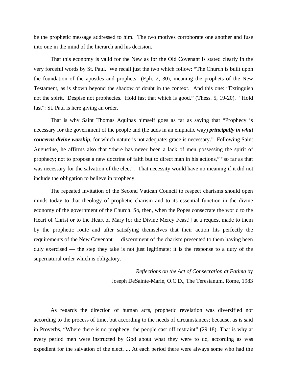be the prophetic message addressed to him. The two motives corroborate one another and fuse into one in the mind of the hierarch and his decision.

That this economy is valid for the New as for the Old Covenant is stated clearly in the very forceful words by St. Paul. We recall just the two which follow: "The Church is built upon the foundation of the apostles and prophets" (Eph. 2, 30), meaning the prophets of the New Testament, as is shown beyond the shadow of doubt in the context. And this one: "Extinguish not the spirit. Despise not prophecies. Hold fast that which is good." (Thess. 5, 19-20). "Hold fast": St. Paul is here giving an order.

That is why Saint Thomas Aquinas himself goes as far as saying that "Prophecy is necessary for the government of the people and (he adds in an emphatic way) *principally in what concerns divine worship*, for which nature is not adequate: grace is necessary." Following Saint Augustine, he affirms also that "there has never been a lack of men possessing the spirit of prophecy; not to propose a new doctrine of faith but to direct man in his actions," "so far as that was necessary for the salvation of the elect". That necessity would have no meaning if it did not include the obligation to believe in prophecy.

The repeated invitation of the Second Vatican Council to respect charisms should open minds today to that theology of prophetic charism and to its essential function in the divine economy of the government of the Church. So, then, when the Popes consecrate the world to the Heart of Christ or to the Heart of Mary [or the Divine Mercy Feast!] at a request made to them by the prophetic route and after satisfying themselves that their action fits perfectly the requirements of the New Covenant — discernment of the charism presented to them having been duly exercised — the step they take is not just legitimate; it is the response to a duty of the supernatural order which is obligatory.

> *Reflections on the Act of Consecration at Fatima* by Joseph DeSainte-Marie, O.C.D., The Teresianum, Rome, 1983

As regards the direction of human acts, prophetic revelation was diversified not according to the process of time, but according to the needs of circumstances; because, as is said in Proverbs, "Where there is no prophecy, the people cast off restraint" (29:18). That is why at every period men were instructed by God about what they were to do, according as was expedient for the salvation of the elect. ... At each period there were always some who had the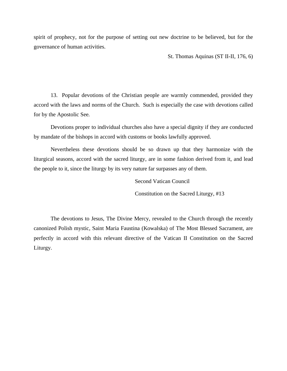spirit of prophecy, not for the purpose of setting out new doctrine to be believed, but for the governance of human activities.

St. Thomas Aquinas (ST II-II, 176, 6)

13. Popular devotions of the Christian people are warmly commended, provided they accord with the laws and norms of the Church. Such is especially the case with devotions called for by the Apostolic See.

Devotions proper to individual churches also have a special dignity if they are conducted by mandate of the bishops in accord with customs or books lawfully approved.

Nevertheless these devotions should be so drawn up that they harmonize with the liturgical seasons, accord with the sacred liturgy, are in some fashion derived from it, and lead the people to it, since the liturgy by its very nature far surpasses any of them.

> Second Vatican Council Constitution on the Sacred Liturgy, #13

The devotions to Jesus, The Divine Mercy, revealed to the Church through the recently canonized Polish mystic, Saint Maria Faustina (Kowalska) of The Most Blessed Sacrament, are perfectly in accord with this relevant directive of the Vatican II Constitution on the Sacred Liturgy.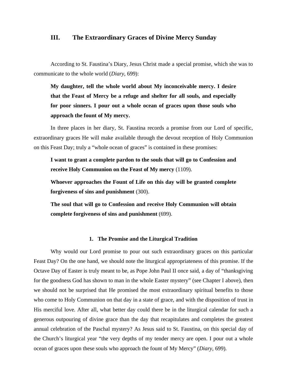#### **III. The Extraordinary Graces of Divine Mercy Sunday**

According to St. Faustina's Diary, Jesus Christ made a special promise, which she was to communicate to the whole world (*Diary*, 699):

**My daughter, tell the whole world about My inconceivable mercy. I desire that the Feast of Mercy be a refuge and shelter for all souls, and especially for poor sinners. I pour out a whole ocean of graces upon those souls who approach the fount of My mercy.** 

In three places in her diary, St. Faustina records a promise from our Lord of specific, extraordinary graces He will make available through the devout reception of Holy Communion on this Feast Day; truly a "whole ocean of graces" is contained in these promises:

**I want to grant a complete pardon to the souls that will go to Confession and receive Holy Communion on the Feast of My mercy** (1109).

**Whoever approaches the Fount of Life on this day will be granted complete forgiveness of sins and punishment** (300).

**The soul that will go to Confession and receive Holy Communion will obtain complete forgiveness of sins and punishment** (699).

#### **1. The Promise and the Liturgical Tradition**

Why would our Lord promise to pour out such extraordinary graces on this particular Feast Day? On the one hand, we should note the liturgical appropriateness of this promise. If the Octave Day of Easter is truly meant to be, as Pope John Paul II once said, a day of "thanksgiving for the goodness God has shown to man in the whole Easter mystery" (see Chapter I above), then we should not be surprised that He promised the most extraordinary spiritual benefits to those who come to Holy Communion on that day in a state of grace, and with the disposition of trust in His merciful love. After all, what better day could there be in the liturgical calendar for such a generous outpouring of divine grace than the day that recapitulates and completes the greatest annual celebration of the Paschal mystery? As Jesus said to St. Faustina, on this special day of the Church's liturgical year "the very depths of my tender mercy are open. I pour out a whole ocean of graces upon these souls who approach the fount of My Mercy" (*Diary*, 699).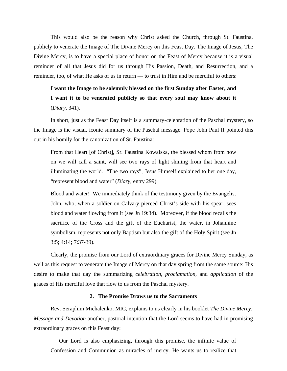This would also be the reason why Christ asked the Church, through St. Faustina, publicly to venerate the Image of The Divine Mercy on this Feast Day. The Image of Jesus, The Divine Mercy, is to have a special place of honor on the Feast of Mercy because it is a visual reminder of all that Jesus did for us through His Passion, Death, and Resurrection, and a reminder, too, of what He asks of us in return — to trust in Him and be merciful to others:

# **I want the Image to be solemnly blessed on the first Sunday after Easter, and I want it to be venerated publicly so that every soul may know about it**  (*Diary*, 341).

In short, just as the Feast Day itself is a summary-celebration of the Paschal mystery, so the Image is the visual, iconic summary of the Paschal message. Pope John Paul II pointed this out in his homily for the canonization of St. Faustina:

From that Heart [of Christ], Sr. Faustina Kowalska, the blessed whom from now on we will call a saint, will see two rays of light shining from that heart and illuminating the world. "The two rays", Jesus Himself explained to her one day, "represent blood and water" (*Diary*, entry 299).

Blood and water! We immediately think of the testimony given by the Evangelist John, who, when a soldier on Calvary pierced Christ's side with his spear, sees blood and water flowing from it (see Jn 19:34). Moreover, if the blood recalls the sacrifice of the Cross and the gift of the Eucharist, the water, in Johannine symbolism, represents not only Baptism but also the gift of the Holy Spirit (see Jn 3:5; 4:14; 7:37-39).

Clearly, the promise from our Lord of extraordinary graces for Divine Mercy Sunday, as well as this request to venerate the Image of Mercy on that day spring from the same source: His desire to make that day the summarizing *celebration, proclamation,* and *application* of the graces of His merciful love that flow to us from the Paschal mystery.

#### **2. The Promise Draws us to the Sacraments**

Rev. Seraphim Michalenko, MIC, explains to us clearly in his booklet *The Divine Mercy: Message and Devotion* another, pastoral intention that the Lord seems to have had in promising extraordinary graces on this Feast day:

Our Lord is also emphasizing, through this promise, the infinite value of Confession and Communion as miracles of mercy. He wants us to realize that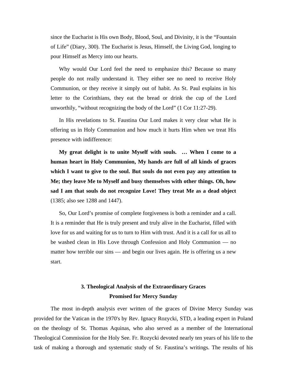since the Eucharist is His own Body, Blood, Soul, and Divinity, it is the "Fountain of Life" (Diary, 300). The Eucharist is Jesus, Himself, the Living God, longing to pour Himself as Mercy into our hearts.

Why would Our Lord feel the need to emphasize this? Because so many people do not really understand it. They either see no need to receive Holy Communion, or they receive it simply out of habit. As St. Paul explains in his letter to the Corinthians, they eat the bread or drink the cup of the Lord unworthily, "without recognizing the body of the Lord" (1 Cor 11:27-29).

In His revelations to St. Faustina Our Lord makes it very clear what He is offering us in Holy Communion and how much it hurts Him when we treat His presence with indifference:

**My great delight is to unite Myself with souls. … When I come to a human heart in Holy Communion, My hands are full of all kinds of graces which I want to give to the soul. But souls do not even pay any attention to Me; they leave Me to Myself and busy themselves with other things. Oh, how sad I am that souls do not recognize Love! They treat Me as a dead object** (1385; also see 1288 and 1447).

So, Our Lord's promise of complete forgiveness is both a reminder and a call. It is a reminder that He is truly present and truly alive in the Eucharist, filled with love for us and waiting for us to turn to Him with trust. And it is a call for us all to be washed clean in His Love through Confession and Holy Communion — no matter how terrible our sins — and begin our lives again. He is offering us a new start.

# **3. Theological Analysis of the Extraordinary Graces Promised for Mercy Sunday**

The most in-depth analysis ever written of the graces of Divine Mercy Sunday was provided for the Vatican in the 1970's by Rev. Ignacy Rozycki, STD, a leading expert in Poland on the theology of St. Thomas Aquinas, who also served as a member of the International Theological Commission for the Holy See. Fr. Rozycki devoted nearly ten years of his life to the task of making a thorough and systematic study of Sr. Faustina's writings. The results of his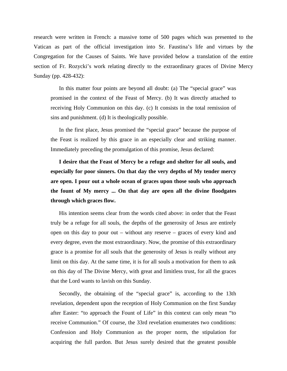research were written in French: a massive tome of 500 pages which was presented to the Vatican as part of the official investigation into Sr. Faustina's life and virtues by the Congregation for the Causes of Saints. We have provided below a translation of the entire section of Fr. Rozycki's work relating directly to the extraordinary graces of Divine Mercy Sunday (pp. 428-432):

In this matter four points are beyond all doubt: (a) The "special grace" was promised in the context of the Feast of Mercy. (b) It was directly attached to receiving Holy Communion on this day. (c) It consists in the total remission of sins and punishment. (d) It is theologically possible.

In the first place, Jesus promised the "special grace" because the purpose of the Feast is realized by this grace in an especially clear and striking manner. Immediately preceding the promulgation of this promise, Jesus declared:

**I desire that the Feast of Mercy be a refuge and shelter for all souls, and especially for poor sinners. On that day the very depths of My tender mercy are open. I pour out a whole ocean of graces upon those souls who approach the fount of My mercy ... On that day are open all the divine floodgates through which graces flow.** 

His intention seems clear from the words cited above: in order that the Feast truly be a refuge for all souls, the depths of the generosity of Jesus are entirely open on this day to pour out – without any reserve – graces of every kind and every degree, even the most extraordinary. Now, the promise of this extraordinary grace is a promise for all souls that the generosity of Jesus is really without any limit on this day. At the same time, it is for all souls a motivation for them to ask on this day of The Divine Mercy, with great and limitless trust, for all the graces that the Lord wants to lavish on this Sunday.

Secondly, the obtaining of the "special grace" is, according to the 13th revelation, dependent upon the reception of Holy Communion on the first Sunday after Easter: "to approach the Fount of Life" in this context can only mean "to receive Communion." Of course, the 33rd revelation enumerates two conditions: Confession and Holy Communion as the proper norm, the stipulation for acquiring the full pardon. But Jesus surely desired that the greatest possible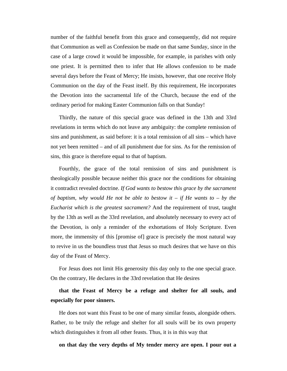number of the faithful benefit from this grace and consequently, did not require that Communion as well as Confession be made on that same Sunday, since in the case of a large crowd it would be impossible, for example, in parishes with only one priest. It is permitted then to infer that He allows confession to be made several days before the Feast of Mercy; He insists, however, that one receive Holy Communion on the day of the Feast itself. By this requirement, He incorporates the Devotion into the sacramental life of the Church, because the end of the ordinary period for making Easter Communion falls on that Sunday!

Thirdly, the nature of this special grace was defined in the 13th and 33rd revelations in terms which do not leave any ambiguity: the complete remission of sins and punishment, as said before: it is a total remission of all sins – which have not yet been remitted – and of all punishment due for sins. As for the remission of sins, this grace is therefore equal to that of baptism.

Fourthly, the grace of the total remission of sins and punishment is theologically possible because neither this grace nor the conditions for obtaining it contradict revealed doctrine. *If God wants to bestow this grace by the sacrament of baptism, why would He not be able to bestow it – if He wants to – by the Eucharist which is the greatest sacrament?* And the requirement of trust, taught by the 13th as well as the 33rd revelation, and absolutely necessary to every act of the Devotion, is only a reminder of the exhortations of Holy Scripture. Even more, the immensity of this [promise of] grace is precisely the most natural way to revive in us the boundless trust that Jesus so much desires that we have on this day of the Feast of Mercy.

For Jesus does not limit His generosity this day only to the one special grace. On the contrary, He declares in the 33rd revelation that He desires

# **that the Feast of Mercy be a refuge and shelter for all souls, and especially for poor sinners.**

He does not want this Feast to be one of many similar feasts, alongside others. Rather, to be truly the refuge and shelter for all souls will be its own property which distinguishes it from all other feasts. Thus, it is in this way that

**on that day the very depths of My tender mercy are open. I pour out a**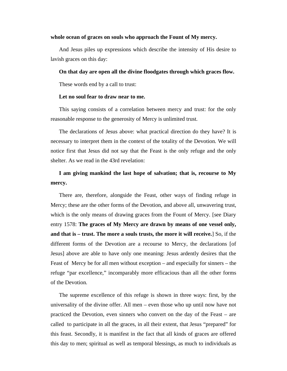#### **whole ocean of graces on souls who approach the Fount of My mercy.**

And Jesus piles up expressions which describe the intensity of His desire to lavish graces on this day:

#### **On that day are open all the divine floodgates through which graces flow.**

These words end by a call to trust:

#### **Let no soul fear to draw near to me.**

This saying consists of a correlation between mercy and trust: for the only reasonable response to the generosity of Mercy is unlimited trust.

The declarations of Jesus above: what practical direction do they have? It is necessary to interpret them in the context of the totality of the Devotion. We will notice first that Jesus did not say that the Feast is the only refuge and the only shelter. As we read in the 43rd revelation:

# **I am giving mankind the last hope of salvation; that is, recourse to My mercy.**

There are, therefore, alongside the Feast, other ways of finding refuge in Mercy; these are the other forms of the Devotion, and above all, unwavering trust, which is the only means of drawing graces from the Fount of Mercy. [see Diary entry 1578: **The graces of My Mercy are drawn by means of one vessel only, and that is – trust. The more a souls trusts, the more it will receive.**] So, if the different forms of the Devotion are a recourse to Mercy, the declarations [of Jesus] above are able to have only one meaning: Jesus ardently desires that the Feast of Mercy be for all men without exception – and especially for sinners – the refuge "par excellence," incomparably more efficacious than all the other forms of the Devotion.

The supreme excellence of this refuge is shown in three ways: first, by the universality of the divine offer. All men – even those who up until now have not practiced the Devotion, even sinners who convert on the day of the Feast – are called to participate in all the graces, in all their extent, that Jesus "prepared" for this feast. Secondly, it is manifest in the fact that all kinds of graces are offered this day to men; spiritual as well as temporal blessings, as much to individuals as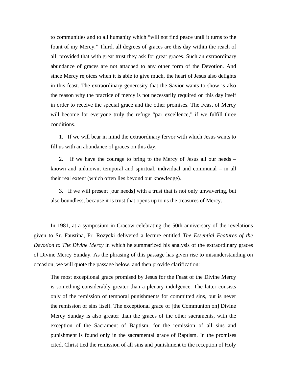to communities and to all humanity which "will not find peace until it turns to the fount of my Mercy." Third, all degrees of graces are this day within the reach of all, provided that with great trust they ask for great graces. Such an extraordinary abundance of graces are not attached to any other form of the Devotion. And since Mercy rejoices when it is able to give much, the heart of Jesus also delights in this feast. The extraordinary generosity that the Savior wants to show is also the reason why the practice of mercy is not necessarily required on this day itself in order to receive the special grace and the other promises. The Feast of Mercy will become for everyone truly the refuge "par excellence," if we fulfill three conditions.

1. If we will bear in mind the extraordinary fervor with which Jesus wants to fill us with an abundance of graces on this day.

2. If we have the courage to bring to the Mercy of Jesus all our needs – known and unknown, temporal and spiritual, individual and communal – in all their real extent (which often lies beyond our knowledge).

3. If we will present [our needs] with a trust that is not only unwavering, but also boundless, because it is trust that opens up to us the treasures of Mercy.

In 1981, at a symposium in Cracow celebrating the 50th anniversary of the revelations given to Sr. Faustina, Fr. Rozycki delivered a lecture entitled *The Essential Features of the Devotion to The Divine Mercy* in which he summarized his analysis of the extraordinary graces of Divine Mercy Sunday. As the phrasing of this passage has given rise to misunderstanding on occasion, we will quote the passage below, and then provide clarification:

The most exceptional grace promised by Jesus for the Feast of the Divine Mercy is something considerably greater than a plenary indulgence. The latter consists only of the remission of temporal punishments for committed sins, but is never the remission of sins itself. The exceptional grace of [the Communion on] Divine Mercy Sunday is also greater than the graces of the other sacraments, with the exception of the Sacrament of Baptism, for the remission of all sins and punishment is found only in the sacramental grace of Baptism. In the promises cited, Christ tied the remission of all sins and punishment to the reception of Holy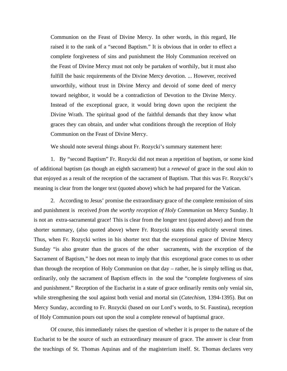Communion on the Feast of Divine Mercy. In other words, in this regard, He raised it to the rank of a "second Baptism." It is obvious that in order to effect a complete forgiveness of sins and punishment the Holy Communion received on the Feast of Divine Mercy must not only be partaken of worthily, but it must also fulfill the basic requirements of the Divine Mercy devotion. ... However, received unworthily, without trust in Divine Mercy and devoid of some deed of mercy toward neighbor, it would be a contradiction of Devotion to the Divine Mercy. Instead of the exceptional grace, it would bring down upon the recipient the Divine Wrath. The spiritual good of the faithful demands that they know what graces they can obtain, and under what conditions through the reception of Holy Communion on the Feast of Divine Mercy.

We should note several things about Fr. Rozycki's summary statement here:

1. By "second Baptism" Fr. Rozycki did not mean a repetition of baptism, or some kind of additional baptism (as though an eighth sacrament) but a *renewal* of grace in the soul akin to that enjoyed as a result of the reception of the sacrament of Baptism. That this was Fr. Rozycki's meaning is clear from the longer text (quoted above) which he had prepared for the Vatican.

2. According to Jesus' promise the extraordinary grace of the complete remission of sins and punishment is received *from the worthy reception of Holy Communion* on Mercy Sunday. It is not an extra-sacramental grace! This is clear from the longer text (quoted above) and from the shorter summary, (also quoted above) where Fr. Rozycki states this explicitly several times. Thus, when Fr. Rozycki writes in his shorter text that the exceptional grace of Divine Mercy Sunday "is also greater than the graces of the other sacraments, with the exception of the Sacrament of Baptism," he does not mean to imply that this exceptional grace comes to us other than through the reception of Holy Communion on that day – rather, he is simply telling us that, ordinarily, only the sacrament of Baptism effects in the soul the "complete forgiveness of sins and punishment." Reception of the Eucharist in a state of grace ordinarily remits only venial sin, while strengthening the soul against both venial and mortal sin (*Catechism*, 1394-1395). But on Mercy Sunday, according to Fr. Rozycki (based on our Lord's words, to St. Faustina), reception of Holy Communion pours out upon the soul a complete renewal of baptismal grace.

Of course, this immediately raises the question of whether it is proper to the nature of the Eucharist to be the source of such an extraordinary measure of grace. The answer is clear from the teachings of St. Thomas Aquinas and of the magisterium itself. St. Thomas declares very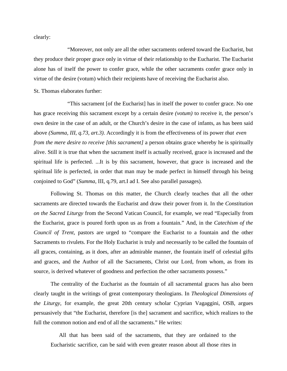clearly:

"Moreover, not only are all the other sacraments ordered toward the Eucharist, but they produce their proper grace only in virtue of their relationship to the Eucharist. The Eucharist alone has of itself the power to confer grace, while the other sacraments confer grace only in virtue of the desire (votum) which their recipients have of receiving the Eucharist also.

#### St. Thomas elaborates further:

"This sacrament [of the Eucharist] has in itself the power to confer grace. No one has grace receiving this sacrament except by a certain desire *(votum)* to receive it, the person's own desire in the case of an adult, or the Church's desire in the case of infants, as has been said above *(Summa, III, q.73, art.3)*. Accordingly it is from the effectiveness of its power *that even from the mere desire to receive [this sacrament]* a person obtains grace whereby he is spiritually alive. Still it is true that when the sacrament itself is actually received, grace is increased and the spiritual life is perfected. ...It is by this sacrament, however, that grace is increased and the spiritual life is perfected, in order that man may be made perfect in himself through his being conjoined to God" (*Summa*, III, q.79, art.I ad I. See also parallel passages).

Following St. Thomas on this matter, the Church clearly teaches that all the other sacraments are directed towards the Eucharist and draw their power from it. In the *Constitution on the Sacred Liturgy* from the Second Vatican Council, for example, we read "Especially from the Eucharist, grace is poured forth upon us as from a fountain." And, in the *Catechism of the Council of Trent,* pastors are urged to "compare the Eucharist to a fountain and the other Sacraments to rivulets. For the Holy Eucharist is truly and necessarily to be called the fountain of all graces, containing, as it does, after an admirable manner, the fountain itself of celestial gifts and graces, and the Author of all the Sacraments, Christ our Lord, from whom, as from its source, is derived whatever of goodness and perfection the other sacraments possess."

The centrality of the Eucharist as the fountain of all sacramental graces has also been clearly taught in the writings of great contemporary theologians. In *Theological Dimensions of the Liturgy,* for example, the great 20th century scholar Cyprian Vagaggini, OSB, argues persuasively that "the Eucharist, therefore [is the] sacrament and sacrifice, which realizes to the full the common notion and end of all the sacraments." He writes:

All that has been said of the sacraments, that they are ordained to the Eucharistic sacrifice, can be said with even greater reason about all those rites in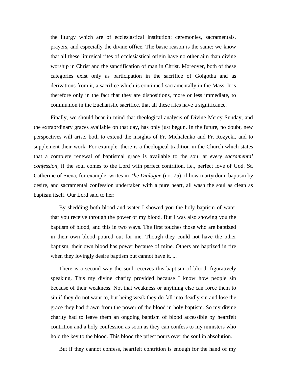the liturgy which are of ecclesiastical institution: ceremonies, sacramentals, prayers, and especially the divine office. The basic reason is the same: we know that all these liturgical rites of ecclesiastical origin have no other aim than divine worship in Christ and the sanctification of man in Christ. Moreover, both of these categories exist only as participation in the sacrifice of Golgotha and as derivations from it, a sacrifice which is continued sacramentally in the Mass. It is therefore only in the fact that they are dispositions, more or less immediate, to communion in the Eucharistic sacrifice, that all these rites have a significance.

Finally, we should bear in mind that theological analysis of Divine Mercy Sunday, and the extraordinary graces available on that day, has only just begun. In the future, no doubt, new perspectives will arise, both to extend the insights of Fr. Michalenko and Fr. Rozycki, and to supplement their work. For example, there is a theological tradition in the Church which states that a complete renewal of baptismal grace is available to the soul at *every sacramental confession*, if the soul comes to the Lord with perfect contrition, i.e., perfect love of God. St. Catherine of Siena, for example, writes in *The Dialogue* (no. 75) of how martyrdom, baptism by desire, and sacramental confession undertaken with a pure heart, all wash the soul as clean as baptism itself. Our Lord said to her:

By shedding both blood and water I showed you the holy baptism of water that you receive through the power of my blood. But I was also showing you the baptism of blood, and this in two ways. The first touches those who are baptized in their own blood poured out for me. Though they could not have the other baptism, their own blood has power because of mine. Others are baptized in fire when they lovingly desire baptism but cannot have it. ...

There is a second way the soul receives this baptism of blood, figuratively speaking. This my divine charity provided because I know how people sin because of their weakness. Not that weakness or anything else can force them to sin if they do not want to, but being weak they do fall into deadly sin and lose the grace they had drawn from the power of the blood in holy baptism. So my divine charity had to leave them an ongoing baptism of blood accessible by heartfelt contrition and a holy confession as soon as they can confess to my ministers who hold the key to the blood. This blood the priest pours over the soul in absolution.

But if they cannot confess, heartfelt contrition is enough for the hand of my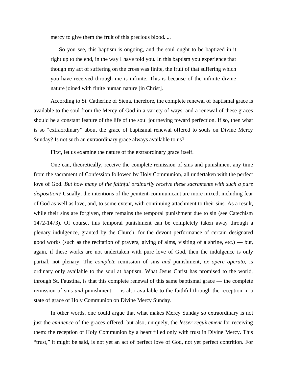mercy to give them the fruit of this precious blood. ...

So you see, this baptism is ongoing, and the soul ought to be baptized in it right up to the end, in the way I have told you. In this baptism you experience that though my act of suffering on the cross was finite, the fruit of that suffering which you have received through me is infinite. This is because of the infinite divine nature joined with finite human nature [in Christ].

According to St. Catherine of Siena, therefore, the complete renewal of baptismal grace is available to the soul from the Mercy of God in a variety of ways, and a renewal of these graces should be a constant feature of the life of the soul journeying toward perfection. If so, then what is so "extraordinary" about the grace of baptismal renewal offered to souls on Divine Mercy Sunday? Is not such an extraordinary grace always available to us?

First, let us examine the nature of the extraordinary grace itself.

One can, theoretically, receive the complete remission of sins and punishment any time from the sacrament of Confession followed by Holy Communion, all undertaken with the perfect love of God. *But how many of the faithful ordinarily receive these sacraments with such a pure disposition?* Usually, the intentions of the penitent-communicant are more mixed, including fear of God as well as love, and, to some extent, with continuing attachment to their sins. As a result, while their sins are forgiven, there remains the temporal punishment due to sin (see Catechism 1472-1473). Of course, this temporal punishment can be completely taken away through a plenary indulgence, granted by the Church, for the devout performance of certain designated good works (such as the recitation of prayers, giving of alms, visiting of a shrine, etc.) — but, again, if these works are not undertaken with pure love of God, then the indulgence is only partial, not plenary. The *complete* remission of sins *and* punishment, *ex opere operato*, is ordinary only available to the soul at baptism. What Jesus Christ has promised to the world, through St. Faustina, is that this complete renewal of this same baptismal grace — the complete remission of sins *and* punishment — is also available to the faithful through the reception in a state of grace of Holy Communion on Divine Mercy Sunday.

In other words, one could argue that what makes Mercy Sunday so extraordinary is not just the *eminence* of the graces offered, but also, uniquely, the *lesser requirement* for receiving them: the reception of Holy Communion by a heart filled only with trust in Divine Mercy. This "trust," it might be said, is not yet an act of perfect love of God, not yet perfect contrition. For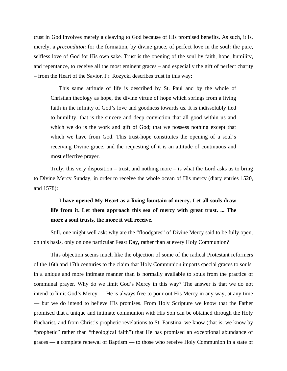trust in God involves merely a cleaving to God because of His promised benefits. As such, it is, merely, a *precondition* for the formation, by divine grace, of perfect love in the soul: the pure, selfless love of God for His own sake. Trust is the opening of the soul by faith, hope, humility, and repentance, to receive all the most eminent graces – and especially the gift of perfect charity – from the Heart of the Savior. Fr. Rozycki describes trust in this way:

This same attitude of life is described by St. Paul and by the whole of Christian theology as hope, the divine virtue of hope which springs from a living faith in the infinity of God's love and goodness towards us. It is indissolubly tied to humility, that is the sincere and deep conviction that all good within us and which we do is the work and gift of God; that we possess nothing except that which we have from God. This trust-hope constitutes the opening of a soul's receiving Divine grace, and the requesting of it is an attitude of continuous and most effective prayer.

Truly, this very disposition – trust, and nothing more – is what the Lord asks us to bring to Divine Mercy Sunday, in order to receive the whole ocean of His mercy (diary entries 1520, and 1578):

# **I have opened My Heart as a living fountain of mercy. Let all souls draw life from it. Let them approach this sea of mercy with great trust. ... The more a soul trusts, the more it will receive.**

Still, one might well ask: why are the "floodgates" of Divine Mercy said to be fully open, on this basis, only on one particular Feast Day, rather than at every Holy Communion?

This objection seems much like the objection of some of the radical Protestant reformers of the 16th and 17th centuries to the claim that Holy Communion imparts special graces to souls, in a unique and more intimate manner than is normally available to souls from the practice of communal prayer. Why do we limit God's Mercy in this way? The answer is that we do not intend to limit God's Mercy — He is always free to pour out His Mercy in any way, at any time — but we do intend to believe His promises. From Holy Scripture we know that the Father promised that a unique and intimate communion with His Son can be obtained through the Holy Eucharist, and from Christ's prophetic revelations to St. Faustina, we know (that is, we know by "prophetic" rather than "theological faith") that He has promised an exceptional abundance of graces — a complete renewal of Baptism — to those who receive Holy Communion in a state of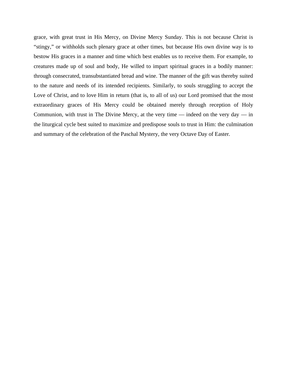grace, with great trust in His Mercy, on Divine Mercy Sunday. This is not because Christ is "stingy," or withholds such plenary grace at other times, but because His own divine way is to bestow His graces in a manner and time which best enables us to receive them. For example, to creatures made up of soul and body, He willed to impart spiritual graces in a bodily manner: through consecrated, transubstantiated bread and wine. The manner of the gift was thereby suited to the nature and needs of its intended recipients. Similarly, to souls struggling to accept the Love of Christ, and to love Him in return (that is, to all of us) our Lord promised that the most extraordinary graces of His Mercy could be obtained merely through reception of Holy Communion, with trust in The Divine Mercy, at the very time — indeed on the very day — in the liturgical cycle best suited to maximize and predispose souls to trust in Him: the culmination and summary of the celebration of the Paschal Mystery, the very Octave Day of Easter.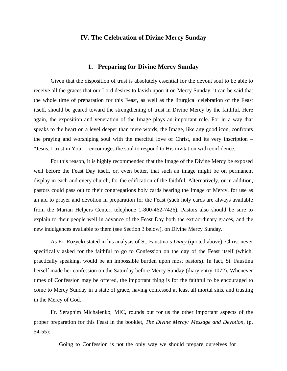#### **IV. The Celebration of Divine Mercy Sunday**

#### **1. Preparing for Divine Mercy Sunday**

Given that the disposition of trust is absolutely essential for the devout soul to be able to receive all the graces that our Lord desires to lavish upon it on Mercy Sunday, it can be said that the whole time of preparation for this Feast, as well as the liturgical celebration of the Feast itself, should be geared toward the strengthening of trust in Divine Mercy by the faithful. Here again, the exposition and veneration of the Image plays an important role. For in a way that speaks to the heart on a level deeper than mere words, the Image, like any good icon, confronts the praying and worshiping soul with the merciful love of Christ, and its very inscription – "Jesus, I trust in You" – encourages the soul to respond to His invitation with confidence.

For this reason, it is highly recommended that the Image of the Divine Mercy be exposed well before the Feast Day itself, or, even better, that such an image might be on permanent display in each and every church, for the edification of the faithful. Alternatively, or in addition, pastors could pass out to their congregations holy cards bearing the Image of Mercy, for use as an aid to prayer and devotion in preparation for the Feast (such holy cards are always available from the Marian Helpers Center, telephone 1-800-462-7426). Pastors also should be sure to explain to their people well in advance of the Feast Day both the extraordinary graces, and the new indulgences available to them (see Section 3 below), on Divine Mercy Sunday.

As Fr. Rozycki stated in his analysis of St. Faustina's *Diary* (quoted above), Christ never specifically asked for the faithful to go to Confession on the day of the Feast itself (which, practically speaking, would be an impossible burden upon most pastors). In fact, St. Faustina herself made her confession on the Saturday before Mercy Sunday (diary entry 1072). Whenever times of Confession may be offered, the important thing is for the faithful to be encouraged to come to Mercy Sunday in a state of grace, having confessed at least all mortal sins, and trusting in the Mercy of God.

Fr. Seraphim Michalenko, MIC, rounds out for us the other important aspects of the proper preparation for this Feast in the booklet, *The Divine Mercy: Message and Devotion,* (p. 54-55):

Going to Confession is not the only way we should prepare ourselves for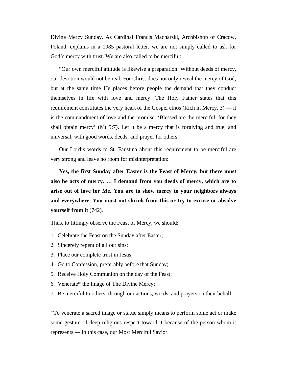Divine Mercy Sunday. As Cardinal Francis Macharski, Archbishop of Cracow, Poland, explains in a 1985 pastoral letter, we are not simply called to ask for God's mercy with trust. We are also called to be merciful:

"Our own merciful attitude is likewise a preparation. Without deeds of mercy, our devotion would not be real. For Christ does not only reveal the mercy of God, but at the same time He places before people the demand that they conduct themselves in life with love and mercy. The Holy Father states that this requirement constitutes the very heart of the Gospel ethos (Rich in Mercy, 3) — it is the commandment of love and the promise: 'Blessed are the merciful, for they shall obtain mercy' (Mt 5:7). Let it be a mercy that is forgiving and true, and universal, with good words, deeds, and prayer for others!"

Our Lord's words to St. Faustina about this requirement to be merciful are very strong and leave no room for misinterpretation:

**Yes, the first Sunday after Easter is the Feast of Mercy, but there must also be acts of mercy. … I demand from you deeds of mercy, which are to arise out of love for Me. You are to show mercy to your neighbors always and everywhere. You must not shrink from this or try to excuse or absolve yourself from it** (742).

Thus, to fittingly observe the Feast of Mercy, we should:

- 1. Celebrate the Feast on the Sunday after Easter;
- 2. Sincerely repent of all our sins;
- 3. Place our complete trust in Jesus;
- 4. Go to Confession, preferably before that Sunday;
- 5. Receive Holy Communion on the day of the Feast;
- 6. Venerate\* the Image of The Divine Mercy;
- 7. Be merciful to others, through our actions, words, and prayers on their behalf.

\*To venerate a sacred image or statue simply means to perform some act or make some gesture of deep religious respect toward it because of the person whom it represents — in this case, our Most Merciful Savior.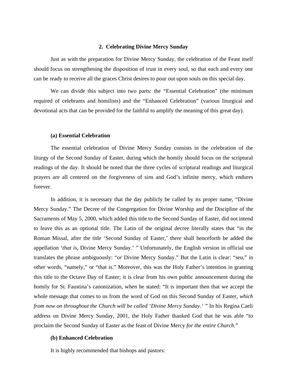#### **2. Celebrating Divine Mercy Sunday**

Just as with the preparation for Divine Mercy Sunday, the celebration of the Feast itself should focus on strengthening the disposition of trust in every soul, so that each and every one can be ready to receive all the graces Christ desires to pour out upon souls on this special day.

We can divide this subject into two parts: the "Essential Celebration" (the minimum required of celebrants and homilists) and the "Enhanced Celebration" (various liturgical and devotional acts that can be provided for the faithful to amplify the meaning of this great day).

#### **(a) Essential Celebration**

The essential celebration of Divine Mercy Sunday consists in the celebration of the liturgy of the Second Sunday of Easter, during which the homily should focus on the scriptural readings of the day. It should be noted that the three cycles of scriptural readings and liturgical prayers are all centered on the forgiveness of sins and God's infinite mercy, which endures forever.

In addition, it is necessary that the day publicly be called by its proper name, "Divine Mercy Sunday." The Decree of the Congregation for Divine Worship and the Discipline of the Sacraments of May 5, 2000, which added this title to the Second Sunday of Easter, did not intend to leave this as an optional title. The Latin of the original decree literally states that "in the Roman Missal, after the title 'Second Sunday of Easter,' there shall henceforth be added the appellation '*that is,* Divine Mercy Sunday.' " Unfortunately, the English version in official use translates the phrase ambiguously: "*or* Divine Mercy Sunday." But the Latin is clear: "seu," in other words, "namely," or "that is." Moreover, this was the Holy Father's intention in granting this title to the Octave Day of Easter; it is clear from his own public announcement during the homily for St. Faustina's canonization, when he stated: "It is important then that we accept the whole message that comes to us from the word of God on this Second Sunday of Easter, *which from now on throughout the Church will be called 'Divine Mercy Sunday.' "* In his Regina Caeli address on Divine Mercy Sunday, 2001, the Holy Father thanked God that he was able "to proclaim the Second Sunday of Easter as the feast of Divine Mercy *for the entire Church*."

#### **(b) Enhanced Celebration**

It is highly recommended that bishops and pastors: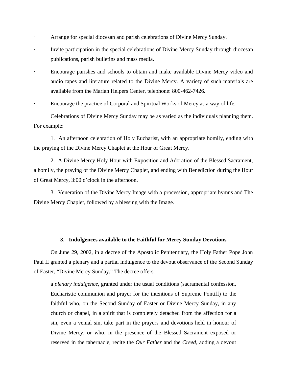- · Arrange for special diocesan and parish celebrations of Divine Mercy Sunday.
- Invite participation in the special celebrations of Divine Mercy Sunday through diocesan publications, parish bulletins and mass media.
- · Encourage parishes and schools to obtain and make available Divine Mercy video and audio tapes and literature related to the Divine Mercy. A variety of such materials are available from the Marian Helpers Center, telephone: 800-462-7426.
- Encourage the practice of Corporal and Spiritual Works of Mercy as a way of life.

Celebrations of Divine Mercy Sunday may be as varied as the individuals planning them. For example:

1. An afternoon celebration of Holy Eucharist, with an appropriate homily, ending with the praying of the Divine Mercy Chaplet at the Hour of Great Mercy.

2. A Divine Mercy Holy Hour with Exposition and Adoration of the Blessed Sacrament, a homily, the praying of the Divine Mercy Chaplet, and ending with Benediction during the Hour of Great Mercy, 3:00 o'clock in the afternoon.

3. Veneration of the Divine Mercy Image with a procession, appropriate hymns and The Divine Mercy Chaplet, followed by a blessing with the Image.

#### **3. Indulgences available to the Faithful for Mercy Sunday Devotions**

On June 29, 2002, in a decree of the Apostolic Penitentiary, the Holy Father Pope John Paul II granted a plenary and a partial indulgence to the devout observance of the Second Sunday of Easter, "Divine Mercy Sunday." The decree offers:

a *plenary indulgence*, granted under the usual conditions (sacramental confession, Eucharistic communion and prayer for the intentions of Supreme Pontiff) to the faithful who, on the Second Sunday of Easter or Divine Mercy Sunday, in any church or chapel, in a spirit that is completely detached from the affection for a sin, even a venial sin, take part in the prayers and devotions held in honour of Divine Mercy, or who, in the presence of the Blessed Sacrament exposed or reserved in the tabernacle, recite the *Our Father* and the *Creed*, adding a devout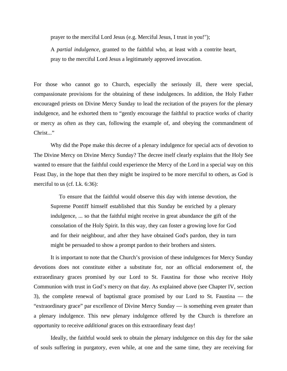prayer to the merciful Lord Jesus (e.g. Merciful Jesus, I trust in you!");

A *partial indulgence*, granted to the faithful who, at least with a contrite heart, pray to the merciful Lord Jesus a legitimately approved invocation.

For those who cannot go to Church, especially the seriously ill, there were special, compassionate provisions for the obtaining of these indulgences. In addition, the Holy Father encouraged priests on Divine Mercy Sunday to lead the recitation of the prayers for the plenary indulgence, and he exhorted them to "gently encourage the faithful to practice works of charity or mercy as often as they can, following the example of, and obeying the commandment of Christ..."

Why did the Pope make this decree of a plenary indulgence for special acts of devotion to The Divine Mercy on Divine Mercy Sunday? The decree itself clearly explains that the Holy See wanted to ensure that the faithful could experience the Mercy of the Lord in a special way on this Feast Day, in the hope that then they might be inspired to be more merciful to others, as God is merciful to us (cf. Lk. 6:36):

To ensure that the faithful would observe this day with intense devotion, the Supreme Pontiff himself established that this Sunday be enriched by a plenary indulgence, ... so that the faithful might receive in great abundance the gift of the consolation of the Holy Spirit. In this way, they can foster a growing love for God and for their neighbour, and after they have obtained God's pardon, they in turn might be persuaded to show a prompt pardon to their brothers and sisters.

It is important to note that the Church's provision of these indulgences for Mercy Sunday devotions does not constitute either a substitute for, nor an official endorsement of, the extraordinary graces promised by our Lord to St. Faustina for those who receive Holy Communion with trust in God's mercy on that day. As explained above (see Chapter IV, section 3), the complete renewal of baptismal grace promised by our Lord to St. Faustina — the "extraordinary grace" par excellence of Divine Mercy Sunday — is something even greater than a plenary indulgence. This new plenary indulgence offered by the Church is therefore an opportunity to receive *additional* graces on this extraordinary feast day!

Ideally, the faithful would seek to obtain the plenary indulgence on this day for the sake of souls suffering in purgatory, even while, at one and the same time, they are receiving for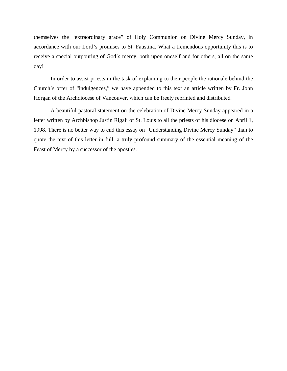themselves the "extraordinary grace" of Holy Communion on Divine Mercy Sunday, in accordance with our Lord's promises to St. Faustina. What a tremendous opportunity this is to receive a special outpouring of God's mercy, both upon oneself and for others, all on the same day!

In order to assist priests in the task of explaining to their people the rationale behind the Church's offer of "indulgences," we have appended to this text an article written by Fr. John Horgan of the Archdiocese of Vancouver, which can be freely reprinted and distributed.

A beautiful pastoral statement on the celebration of Divine Mercy Sunday appeared in a letter written by Archbishop Justin Rigali of St. Louis to all the priests of his diocese on April 1, 1998. There is no better way to end this essay on "Understanding Divine Mercy Sunday" than to quote the text of this letter in full: a truly profound summary of the essential meaning of the Feast of Mercy by a successor of the apostles.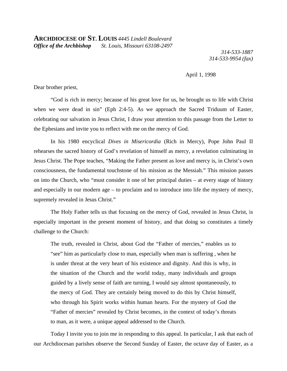*314-533-1887 314-533-9954 (fax)* 

April 1, 1998

Dear brother priest,

"God is rich in mercy; because of his great love for us, he brought us to life with Christ when we were dead in sin" (Eph 2:4-5). As we approach the Sacred Triduum of Easter, celebrating our salvation in Jesus Christ, I draw your attention to this passage from the Letter to the Ephesians and invite you to reflect with me on the mercy of God.

In his 1980 encyclical *Dives in Misericordia* (Rich in Mercy), Pope John Paul II rehearses the sacred history of God's revelation of himself as mercy, a revelation culminating in Jesus Christ. The Pope teaches, "Making the Father present as love and mercy is, in Christ's own consciousness, the fundamental touchstone of his mission as the Messiah." This mission passes on into the Church, who "must consider it one of her principal duties – at every stage of history and especially in our modern age – to proclaim and to introduce into life the mystery of mercy, supremely revealed in Jesus Christ."

The Holy Father tells us that focusing on the mercy of God, revealed in Jesus Christ, is especially important in the present moment of history, and that doing so constitutes a timely challenge to the Church:

The truth, revealed in Christ, about God the "Father of mercies," enables us to "see" him as particularly close to man, especially when man is suffering , when he is under threat at the very heart of his existence and dignity. And this is why, in the situation of the Church and the world today, many individuals and groups guided by a lively sense of faith are turning, I would say almost spontaneously, to the mercy of God. They are certainly being moved to do this by Christ himself, who through his Spirit works within human hearts. For the mystery of God the "Father of mercies" revealed by Christ becomes, in the context of today's threats to man, as it were, a unique appeal addressed to the Church.

Today I invite you to join me in responding to this appeal. In particular, I ask that each of our Archdiocesan parishes observe the Second Sunday of Easter, the octave day of Easter, as a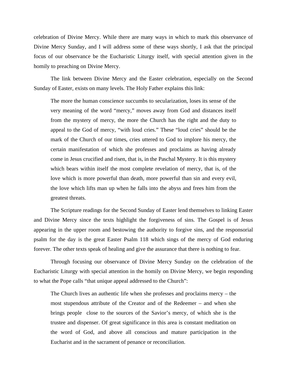celebration of Divine Mercy. While there are many ways in which to mark this observance of Divine Mercy Sunday, and I will address some of these ways shortly, I ask that the principal focus of our observance be the Eucharistic Liturgy itself, with special attention given in the homily to preaching on Divine Mercy.

The link between Divine Mercy and the Easter celebration, especially on the Second Sunday of Easter, exists on many levels. The Holy Father explains this link:

The more the human conscience succumbs to secularization, loses its sense of the very meaning of the word "mercy," moves away from God and distances itself from the mystery of mercy, the more the Church has the right and the duty to appeal to the God of mercy, "with loud cries." These "loud cries" should be the mark of the Church of our times, cries uttered to God to implore his mercy, the certain manifestation of which she professes and proclaims as having already come in Jesus crucified and risen, that is, in the Paschal Mystery. It is this mystery which bears within itself the most complete revelation of mercy, that is, of the love which is more powerful than death, more powerful than sin and every evil, the love which lifts man up when he falls into the abyss and frees him from the greatest threats.

The Scripture readings for the Second Sunday of Easter lend themselves to linking Easter and Divine Mercy since the texts highlight the forgiveness of sins. The Gospel is of Jesus appearing in the upper room and bestowing the authority to forgive sins, and the responsorial psalm for the day is the great Easter Psalm 118 which sings of the mercy of God enduring forever. The other texts speak of healing and give the assurance that there is nothing to fear.

Through focusing our observance of Divine Mercy Sunday on the celebration of the Eucharistic Liturgy with special attention in the homily on Divine Mercy, we begin responding to what the Pope calls "that unique appeal addressed to the Church":

The Church lives an authentic life when she professes and proclaims mercy – the most stupendous attribute of the Creator and of the Redeemer – and when she brings people close to the sources of the Savior's mercy, of which she is the trustee and dispenser. Of great significance in this area is constant meditation on the word of God, and above all conscious and mature participation in the Eucharist and in the sacrament of penance or reconciliation.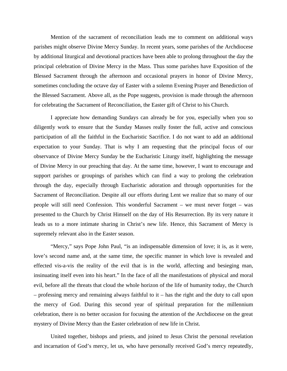Mention of the sacrament of reconciliation leads me to comment on additional ways parishes might observe Divine Mercy Sunday. In recent years, some parishes of the Archdiocese by additional liturgical and devotional practices have been able to prolong throughout the day the principal celebration of Divine Mercy in the Mass. Thus some parishes have Exposition of the Blessed Sacrament through the afternoon and occasional prayers in honor of Divine Mercy, sometimes concluding the octave day of Easter with a solemn Evening Prayer and Benediction of the Blessed Sacrament. Above all, as the Pope suggests, provision is made through the afternoon for celebrating the Sacrament of Reconciliation, the Easter gift of Christ to his Church.

I appreciate how demanding Sundays can already be for you, especially when you so diligently work to ensure that the Sunday Masses really foster the full, active and conscious participation of all the faithful in the Eucharistic Sacrifice. I do not want to add an additional expectation to your Sunday. That is why I am requesting that the principal focus of our observance of Divine Mercy Sunday be the Eucharistic Liturgy itself, highlighting the message of Divine Mercy in our preaching that day. At the same time, however, I want to encourage and support parishes or groupings of parishes which can find a way to prolong the celebration through the day, especially through Eucharistic adoration and through opportunities for the Sacrament of Reconciliation. Despite all our efforts during Lent we realize that so many of our people will still need Confession. This wonderful Sacrament – we must never forget – was presented to the Church by Christ Himself on the day of His Resurrection. By its very nature it leads us to a more intimate sharing in Christ's new life. Hence, this Sacrament of Mercy is supremely relevant also in the Easter season.

"Mercy," says Pope John Paul, "is an indispensable dimension of love; it is, as it were, love's second name and, at the same time, the specific manner in which love is revealed and effected vis-a-vis the reality of the evil that is in the world, affecting and besieging man, insinuating itself even into his heart." In the face of all the manifestations of physical and moral evil, before all the threats that cloud the whole horizon of the life of humanity today, the Church – professing mercy and remaining always faithful to it – has the right and the duty to call upon the mercy of God. During this second year of spiritual preparation for the millennium celebration, there is no better occasion for focusing the attention of the Archdiocese on the great mystery of Divine Mercy than the Easter celebration of new life in Christ.

United together, bishops and priests, and joined to Jesus Christ the personal revelation and incarnation of God's mercy, let us, who have personally received God's mercy repeatedly,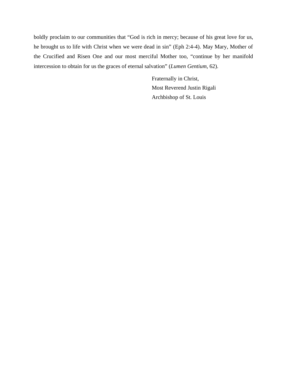boldly proclaim to our communities that "God is rich in mercy; because of his great love for us, he brought us to life with Christ when we were dead in sin" (Eph 2:4-4). May Mary, Mother of the Crucified and Risen One and our most merciful Mother too, "continue by her manifold intercession to obtain for us the graces of eternal salvation" (*Lumen Gentium,* 62).

> Fraternally in Christ, Most Reverend Justin Rigali Archbishop of St. Louis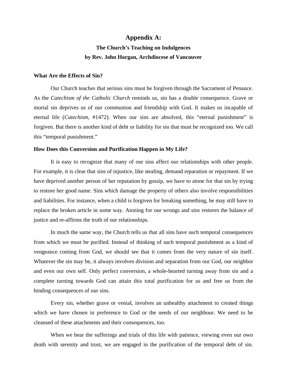#### **Appendix A:**

# **The Church's Teaching on Indulgences by Rev. John Horgan, Archdiocese of Vancouver**

#### **What Are the Effects of Sin?**

Our Church teaches that serious sins must be forgiven through the Sacrament of Penance. As the *Catechism of the Catholic Church* reminds us, sin has a double consequence. Grave or mortal sin deprives us of our communion and friendship with God. It makes us incapable of eternal life (*Catechism*, #1472). When our sins are absolved, this "eternal punishment" is forgiven. But there is another kind of debt or liability for sin that must be recognized too. We call this "temporal punishment."

#### **How Does this Conversion and Purification Happen in My Life?**

It is easy to recognize that many of our sins affect our relationships with other people. For example, it is clear that sins of injustice, like stealing, demand reparation or repayment. If we have deprived another person of her reputation by gossip, we have to atone for that sin by trying to restore her good name. Sins which damage the property of others also involve responsibilities and liabilities. For instance, when a child is forgiven for breaking something, he may still have to replace the broken article in some way. Atoning for our wrongs and sins restores the balance of justice and re-affirms the truth of our relationships.

In much the same way, the Church tells us that all sins have such temporal consequences from which we must be purified. Instead of thinking of such temporal punishment as a kind of vengeance coming from God, we should see that it comes from the very nature of sin itself. Whatever the sin may be, it always involves division and separation from our God, our neighbor and even our own self. Only perfect conversion, a whole-hearted turning away from sin and a complete turning towards God can attain this total purification for us and free us from the binding consequences of our sins.

Every sin, whether grave or venial, involves an unhealthy attachment to created things which we have chosen in preference to God or the needs of our neighbour. We need to be cleansed of these attachments and their consequences, too.

When we bear the sufferings and trials of this life with patience, viewing even our own death with serenity and trust, we are engaged in the purification of the temporal debt of sin.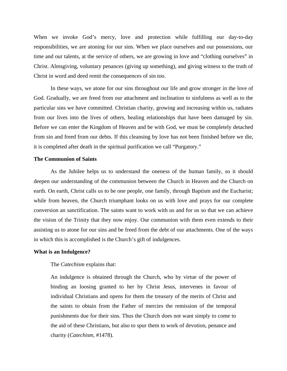When we invoke God's mercy, love and protection while fulfilling our day-to-day responsibilities, we are atoning for our sins. When we place ourselves and our possessions, our time and our talents, at the service of others, we are growing in love and "clothing ourselves" in Christ. Almsgiving, voluntary penances (giving up something), and giving witness to the truth of Christ in word and deed remit the consequences of sin too.

In these ways, we atone for our sins throughout our life and grow stronger in the love of God. Gradually, we are freed from our attachment and inclination to sinfulness as well as to the particular sins we have committed. Christian charity, growing and increasing within us, radiates from our lives into the lives of others, healing relationships that have been damaged by sin. Before we can enter the Kingdom of Heaven and be with God, we must be completely detached from sin and freed from our debts. If this cleansing by love has not been finished before we die, it is completed after death in the spiritual purification we call "Purgatory."

#### **The Communion of Saints**

As the Jubilee helps us to understand the oneness of the human family, so it should deepen our understanding of the communion between the Church in Heaven and the Church on earth. On earth, Christ calls us to be one people, one family, through Baptism and the Eucharist; while from heaven, the Church triumphant looks on us with love and prays for our complete conversion an sanctification. The saints want to work with us and for us so that we can achieve the vision of the Trinity that they now enjoy. Our communion with them even extends to their assisting us to atone for our sins and be freed from the debt of our attachments. One of the ways in which this is accomplished is the Church's gift of indulgences.

#### **What is an Indulgence?**

#### The *Catechism* explains that:

An indulgence is obtained through the Church, who by virtue of the power of binding an loosing granted to her by Christ Jesus, intervenes in favour of individual Christians and opens for them the treasury of the merits of Christ and the saints to obtain from the Father of mercies the remission of the temporal punishments due for their sins. Thus the Church does not want simply to come to the aid of these Christians, but also to spur them to work of devotion, penance and charity (*Catechism*, #1478).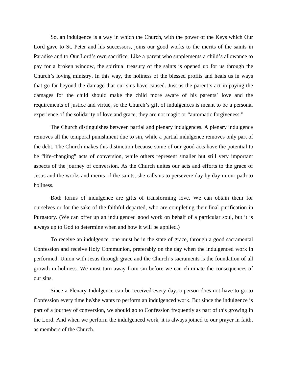So, an indulgence is a way in which the Church, with the power of the Keys which Our Lord gave to St. Peter and his successors, joins our good works to the merits of the saints in Paradise and to Our Lord's own sacrifice. Like a parent who supplements a child's allowance to pay for a broken window, the spiritual treasury of the saints is opened up for us through the Church's loving ministry. In this way, the holiness of the blessed profits and heals us in ways that go far beyond the damage that our sins have caused. Just as the parent's act in paying the damages for the child should make the child more aware of his parents' love and the requirements of justice and virtue, so the Church's gift of indulgences is meant to be a personal experience of the solidarity of love and grace; they are not magic or "automatic forgiveness."

The Church distinguishes between partial and plenary indulgences. A plenary indulgence removes all the temporal punishment due to sin, while a partial indulgence removes only part of the debt. The Church makes this distinction because some of our good acts have the potential to be "life-changing" acts of conversion, while others represent smaller but still very important aspects of the journey of conversion. As the Church unites our acts and efforts to the grace of Jesus and the works and merits of the saints, she calls us to persevere day by day in our path to holiness.

Both forms of indulgence are gifts of transforming love. We can obtain them for ourselves or for the sake of the faithful departed, who are completing their final purification in Purgatory. (We can offer up an indulgenced good work on behalf of a particular soul, but it is always up to God to determine when and how it will be applied.)

To receive an indulgence, one must be in the state of grace, through a good sacramental Confession and receive Holy Communion, preferably on the day when the indulgenced work in performed. Union with Jesus through grace and the Church's sacraments is the foundation of all growth in holiness. We must turn away from sin before we can eliminate the consequences of our sins.

Since a Plenary Indulgence can be received every day, a person does not have to go to Confession every time he/she wants to perform an indulgenced work. But since the indulgence is part of a journey of conversion, we should go to Confession frequently as part of this growing in the Lord. And when we perform the indulgenced work, it is always joined to our prayer in faith, as members of the Church.